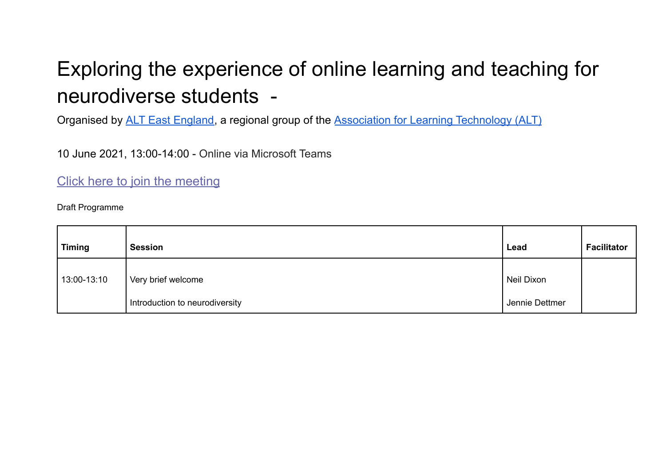## Exploring the experience of online learning and teaching for neurodiverse students -

Organised by ALT East [England,](https://sites.google.com/view/alteastengland/home) a regional group of the [Association](https://www.alt.ac.uk/) for Learning Technology (ALT)

10 June 2021, 13:00-14:00 - Online via Microsoft Teams

Click here to join the [meeting](https://teams.microsoft.com/l/meetup-join/19%3ameeting_MzI3ZTE1OTItYjU5ZC00M2RmLWEzMmEtNDM4OGEzNWYxMzIz%40thread.v2/0?context=%7b%22Tid%22%3a%225f35c3da-39ae-4632-9ac1-afc2f25d2852%22%2c%22Oid%22%3a%227f37d50c-2595-4bba-ab3b-d1bf97cd09ba%22%7d)

Draft Programme

| <b>Timing</b> | <b>Session</b>                 | Lead           | <b>Facilitator</b> |
|---------------|--------------------------------|----------------|--------------------|
| 13:00-13:10   | Very brief welcome             | Neil Dixon     |                    |
|               | Introduction to neurodiversity | Jennie Dettmer |                    |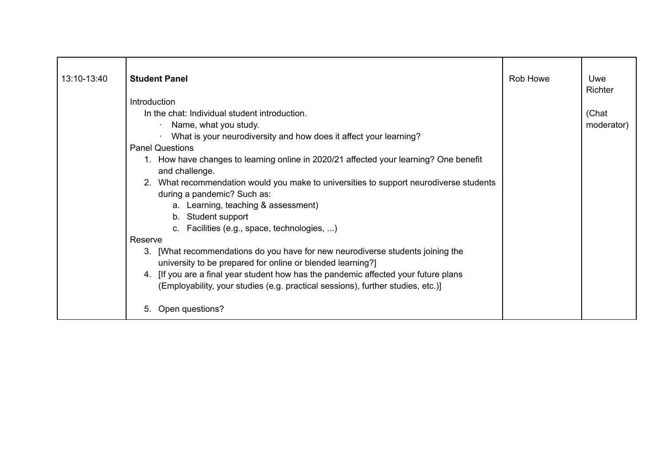| 13:10-13:40 | <b>Student Panel</b>                                                                                                                                                   | Rob Howe | Uwe<br>Richter |
|-------------|------------------------------------------------------------------------------------------------------------------------------------------------------------------------|----------|----------------|
|             | Introduction                                                                                                                                                           |          |                |
|             | In the chat: Individual student introduction.                                                                                                                          |          | (Chat          |
|             | Name, what you study.                                                                                                                                                  |          | moderator)     |
|             | What is your neurodiversity and how does it affect your learning?                                                                                                      |          |                |
|             | <b>Panel Questions</b>                                                                                                                                                 |          |                |
|             | 1. How have changes to learning online in 2020/21 affected your learning? One benefit<br>and challenge.                                                                |          |                |
|             | 2. What recommendation would you make to universities to support neurodiverse students<br>during a pandemic? Such as:                                                  |          |                |
|             | a. Learning, teaching & assessment)                                                                                                                                    |          |                |
|             | b. Student support                                                                                                                                                     |          |                |
|             | c. Facilities (e.g., space, technologies, )                                                                                                                            |          |                |
|             | Reserve                                                                                                                                                                |          |                |
|             | 3. [What recommendations do you have for new neurodiverse students joining the<br>university to be prepared for online or blended learning?]                           |          |                |
|             | 4. [If you are a final year student how has the pandemic affected your future plans<br>(Employability, your studies (e.g. practical sessions), further studies, etc.)] |          |                |
|             | Open questions?<br>5.                                                                                                                                                  |          |                |